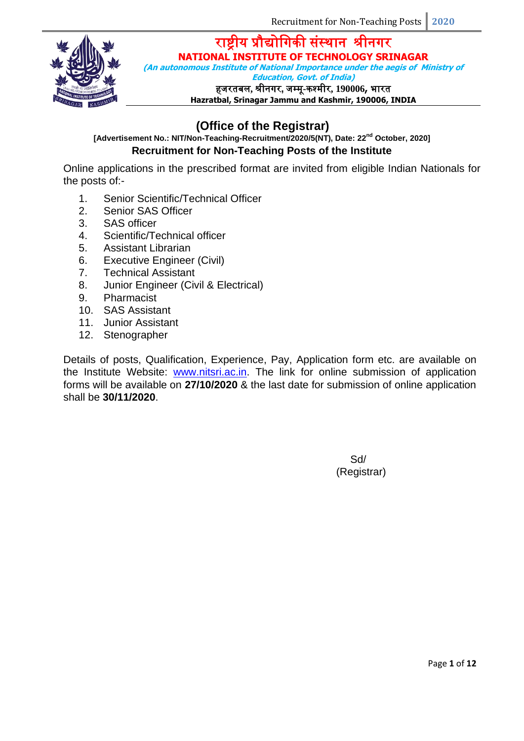

**(An autonomous Institute of National Importance under the aegis of Ministry of** 

**Education, Govt. of India)**

हजरतबल**,** श्रीनिर**,** जम्मू**-**कश्मीर**, 190006,** भारत

**Hazratbal, Srinagar Jammu and Kashmir, 190006, INDIA**

# **(Office of the Registrar)**

### **[Advertisement No.: NIT/Non-Teaching-Recruitment/2020/5(NT), Date: 22nd October, 2020] Recruitment for Non-Teaching Posts of the Institute**

Online applications in the prescribed format are invited from eligible Indian Nationals for the posts of:-

- 1. Senior Scientific/Technical Officer
- 2. Senior SAS Officer
- 3. SAS officer
- 4. Scientific/Technical officer
- 5. Assistant Librarian
- 6. Executive Engineer (Civil)
- 7. Technical Assistant
- 8. Junior Engineer (Civil & Electrical)
- 9. Pharmacist
- 10. SAS Assistant
- 11. Junior Assistant
- 12. Stenographer

Details of posts, Qualification, Experience, Pay, Application form etc. are available on the Institute Website: [www.nitsri.ac.in.](http://www.nitsri.ac.in/) The link for online submission of application forms will be available on **27/10/2020** & the last date for submission of online application shall be **30/11/2020**.

> Sd/ (Registrar)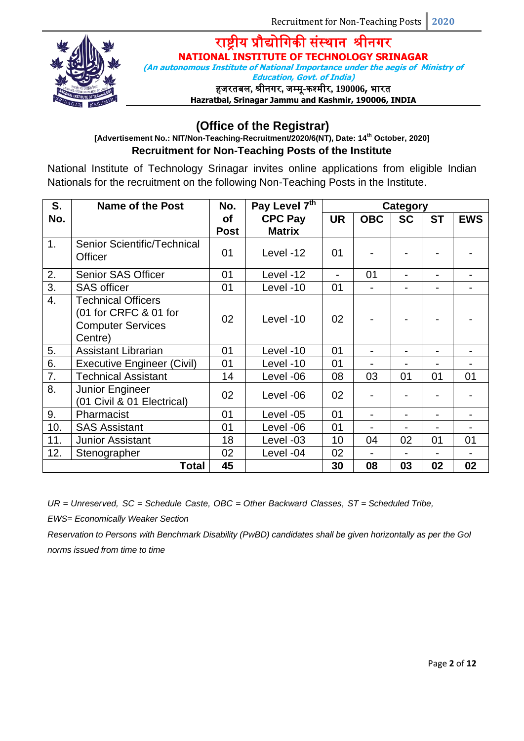

**(An autonomous Institute of National Importance under the aegis of Ministry of** 

**Education, Govt. of India)**

हजरतबल**,** श्रीनिर**,** जम्मू**-**कश्मीर**, 190006,** भारत

**Hazratbal, Srinagar Jammu and Kashmir, 190006, INDIA**

## **(Office of the Registrar)**

**[Advertisement No.: NIT/Non-Teaching-Recruitment/2020/6(NT), Date: 14th October, 2020] Recruitment for Non-Teaching Posts of the Institute**

National Institute of Technology Srinagar invites online applications from eligible Indian Nationals for the recruitment on the following Non-Teaching Posts in the Institute.

| S.               | <b>Name of the Post</b>                                                                   | No.         | Pay Level 7th  | Category                 |                          |           |                          |            |
|------------------|-------------------------------------------------------------------------------------------|-------------|----------------|--------------------------|--------------------------|-----------|--------------------------|------------|
| No.              |                                                                                           | <b>of</b>   | <b>CPC Pay</b> | <b>UR</b>                | <b>OBC</b>               | <b>SC</b> | <b>ST</b>                | <b>EWS</b> |
|                  |                                                                                           | <b>Post</b> | <b>Matrix</b>  |                          |                          |           |                          |            |
| $\mathbf 1$ .    | Senior Scientific/Technical<br>Officer                                                    | 01          | Level -12      | 01                       |                          |           |                          |            |
| 2.               | <b>Senior SAS Officer</b>                                                                 | 01          | Level -12      | $\overline{\phantom{a}}$ | 01                       |           |                          |            |
| 3.               | <b>SAS officer</b>                                                                        | 01          | Level -10      | 01                       |                          |           |                          |            |
| $\overline{4}$ . | <b>Technical Officers</b><br>(01 for CRFC & 01 for<br><b>Computer Services</b><br>Centre) | 02          | Level -10      | 02                       |                          |           |                          |            |
| 5.               | <b>Assistant Librarian</b>                                                                | 01          | Level -10      | 01                       |                          |           | $\overline{\phantom{0}}$ |            |
| 6.               | <b>Executive Engineer (Civil)</b>                                                         | 01          | Level -10      | 01                       | $\overline{\phantom{0}}$ |           | $\blacksquare$           |            |
| 7.               | <b>Technical Assistant</b>                                                                | 14          | Level -06      | 08                       | 03                       | 01        | 01                       | 01         |
| 8.               | Junior Engineer<br>(01 Civil & 01 Electrical)                                             | 02          | Level -06      | 02                       |                          |           |                          |            |
| 9.               | Pharmacist                                                                                | 01          | Level -05      | 01                       |                          |           |                          |            |
| 10.              | <b>SAS Assistant</b>                                                                      | 01          | Level -06      | 01                       |                          |           |                          |            |
| 11.              | <b>Junior Assistant</b>                                                                   | 18          | Level -03      | 10                       | 04                       | 02        | 01                       | 01         |
| 12.              | Stenographer                                                                              | 02          | Level -04      | 02                       |                          |           |                          |            |
|                  | Total                                                                                     | 45          |                | 30                       | 08                       | 03        | 02                       | 02         |

*UR = Unreserved, SC = Schedule Caste, OBC = Other Backward Classes, ST = Scheduled Tribe,* 

*EWS= Economically Weaker Section*

*Reservation to Persons with Benchmark Disability (PwBD) candidates shall be given horizontally as per the GoI norms issued from time to time*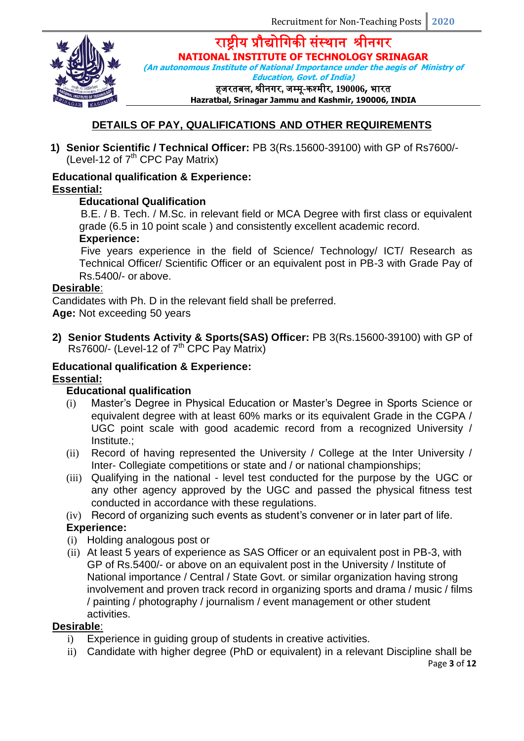राष्ट्रीय प्रौद्योगिकी संस्थान श्रीनिर



**NATIONAL INSTITUTE OF TECHNOLOGY SRINAGAR**

**(An autonomous Institute of National Importance under the aegis of Ministry of Education, Govt. of India)**

हजरतबल**,** श्रीनिर**,** जम्मू**-**कश्मीर**, 190006,** भारत

**Hazratbal, Srinagar Jammu and Kashmir, 190006, INDIA**

### **DETAILS OF PAY, QUALIFICATIONS AND OTHER REQUIREMENTS**

**1) Senior Scientific / Technical Officer:** PB 3(Rs.15600-39100) with GP of Rs7600/- (Level-12 of  $7<sup>th</sup>$  CPC Pav Matrix)

### **Educational qualification & Experience: Essential:**

### **Educational Qualification**

B.E. / B. Tech. / M.Sc. in relevant field or MCA Degree with first class or equivalent grade (6.5 in 10 point scale ) and consistently excellent academic record.

### **Experience:**

Five years experience in the field of Science/ Technology/ ICT/ Research as Technical Officer/ Scientific Officer or an equivalent post in PB-3 with Grade Pay of Rs.5400/- or above.

### **Desirable**:

Candidates with Ph. D in the relevant field shall be preferred.

**Age:** Not exceeding 50 years

**2) Senior Students Activity & Sports(SAS) Officer:** PB 3(Rs.15600-39100) with GP of Rs7600/- (Level-12 of  $7<sup>th</sup>$  CPC Pay Matrix)

#### **Educational qualification & Experience: Essential:**

### **Educational qualification**

- (i) Master's Degree in Physical Education or Master's Degree in Sports Science or equivalent degree with at least 60% marks or its equivalent Grade in the CGPA / UGC point scale with good academic record from a recognized University / Institute.;
- (ii) Record of having represented the University / College at the Inter University / Inter- Collegiate competitions or state and / or national championships;
- (iii) Qualifying in the national level test conducted for the purpose by the UGC or any other agency approved by the UGC and passed the physical fitness test conducted in accordance with these regulations.
- (iv) Record of organizing such events as student's convener or in later part of life.

### **Experience:**

- (i) Holding analogous post or
- (ii) At least 5 years of experience as SAS Officer or an equivalent post in PB-3, with GP of Rs.5400/- or above on an equivalent post in the University / Institute of National importance / Central / State Govt. or similar organization having strong involvement and proven track record in organizing sports and drama / music / films / painting / photography / journalism / event management or other student activities.

### **Desirable**:

- i) Experience in guiding group of students in creative activities.
- ii) Candidate with higher degree (PhD or equivalent) in a relevant Discipline shall be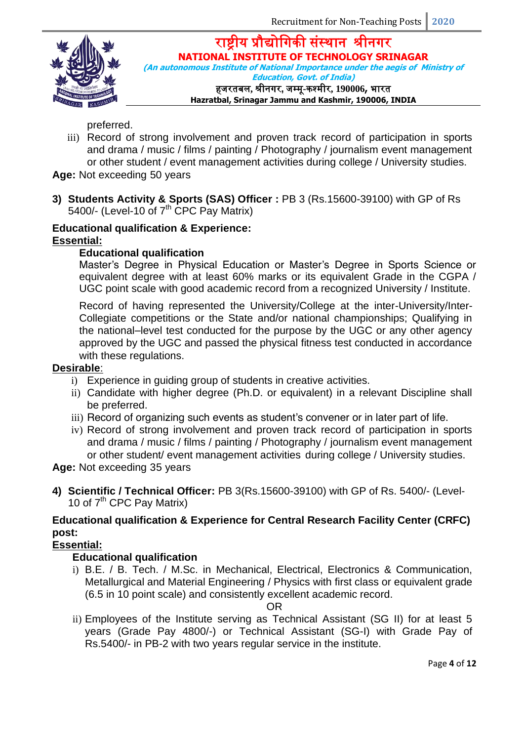

राष्ट्रीय प्रौद्योगिकी संस्थान श्रीनिर **NATIONAL INSTITUTE OF TECHNOLOGY SRINAGAR (An autonomous Institute of National Importance under the aegis of Ministry of Education, Govt. of India)**

हजरतबल**,** श्रीनिर**,** जम्मू**-**कश्मीर**, 190006,** भारत

**Hazratbal, Srinagar Jammu and Kashmir, 190006, INDIA**

preferred.

- iii) Record of strong involvement and proven track record of participation in sports and drama / music / films / painting / Photography / journalism event management or other student / event management activities during college / University studies.
- **Age:** Not exceeding 50 years
- **3) Students Activity & Sports (SAS) Officer :** PB 3 (Rs.15600-39100) with GP of Rs 5400/- (Level-10 of  $7<sup>th</sup>$  CPC Pay Matrix)

### **Educational qualification & Experience: Essential:**

### **Educational qualification**

Master's Degree in Physical Education or Master's Degree in Sports Science or equivalent degree with at least 60% marks or its equivalent Grade in the CGPA / UGC point scale with good academic record from a recognized University / Institute.

Record of having represented the University/College at the inter-University/Inter-Collegiate competitions or the State and/or national championships; Qualifying in the national–level test conducted for the purpose by the UGC or any other agency approved by the UGC and passed the physical fitness test conducted in accordance with these regulations.

### **Desirable**:

- i) Experience in guiding group of students in creative activities.
- ii) Candidate with higher degree (Ph.D. or equivalent) in a relevant Discipline shall be preferred.
- iii) Record of organizing such events as student's convener or in later part of life.
- iv) Record of strong involvement and proven track record of participation in sports and drama / music / films / painting / Photography / journalism event management or other student/ event management activities during college / University studies.

**Age:** Not exceeding 35 years

**4) Scientific / Technical Officer:** PB 3(Rs.15600-39100) with GP of Rs. 5400/- (Level-10 of  $7<sup>th</sup>$  CPC Pay Matrix)

### **Educational qualification & Experience for Central Research Facility Center (CRFC) post:**

### **Essential:**

### **Educational qualification**

i) B.E. / B. Tech. / M.Sc. in Mechanical, Electrical, Electronics & Communication, Metallurgical and Material Engineering / Physics with first class or equivalent grade (6.5 in 10 point scale) and consistently excellent academic record.

#### OR

ii) Employees of the Institute serving as Technical Assistant (SG II) for at least 5 years (Grade Pay 4800/-) or Technical Assistant (SG-I) with Grade Pay of Rs.5400/- in PB-2 with two years regular service in the institute.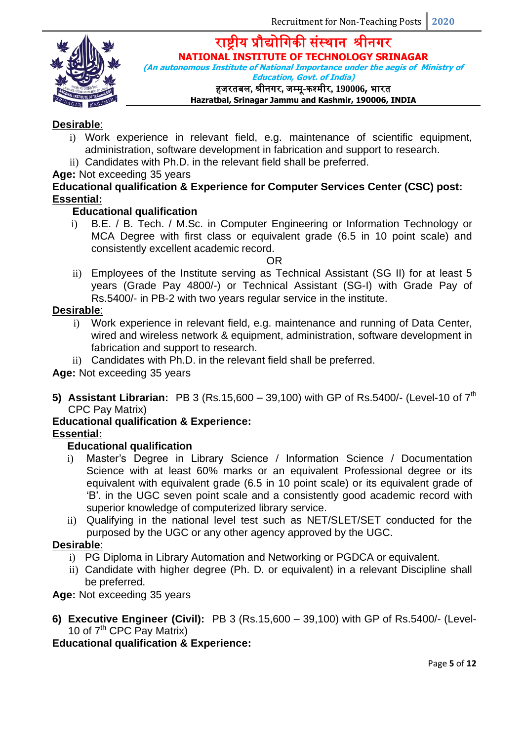

**(An autonomous Institute of National Importance under the aegis of Ministry of Education, Govt. of India)**

हजरतबल**,** श्रीनिर**,** जम्मू**-**कश्मीर**, 190006,** भारत

### **Hazratbal, Srinagar Jammu and Kashmir, 190006, INDIA**

### **Desirable**:

- i) Work experience in relevant field, e.g. maintenance of scientific equipment, administration, software development in fabrication and support to research.
- ii) Candidates with Ph.D. in the relevant field shall be preferred.

### **Age:** Not exceeding 35 years

### **Educational qualification & Experience for Computer Services Center (CSC) post: Essential:**

### **Educational qualification**

i) B.E. / B. Tech. / M.Sc. in Computer Engineering or Information Technology or MCA Degree with first class or equivalent grade (6.5 in 10 point scale) and consistently excellent academic record.

### OR

ii) Employees of the Institute serving as Technical Assistant (SG II) for at least 5 years (Grade Pay 4800/-) or Technical Assistant (SG-I) with Grade Pay of Rs.5400/- in PB-2 with two years regular service in the institute.

### **Desirable**:

- i) Work experience in relevant field, e.g. maintenance and running of Data Center, wired and wireless network & equipment, administration, software development in fabrication and support to research.
- ii) Candidates with Ph.D. in the relevant field shall be preferred.

**Age:** Not exceeding 35 years

**5) Assistant Librarian:** PB 3 (Rs.15,600 – 39,100) with GP of Rs.5400/- (Level-10 of 7<sup>th</sup> CPC Pay Matrix)

### **Educational qualification & Experience:**

### **Essential:**

### **Educational qualification**

- i) Master's Degree in Library Science / Information Science / Documentation Science with at least 60% marks or an equivalent Professional degree or its equivalent with equivalent grade (6.5 in 10 point scale) or its equivalent grade of 'B'. in the UGC seven point scale and a consistently good academic record with superior knowledge of computerized library service.
- ii) Qualifying in the national level test such as NET/SLET/SET conducted for the purposed by the UGC or any other agency approved by the UGC.

### **Desirable**:

- i) PG Diploma in Library Automation and Networking or PGDCA or equivalent.
- ii) Candidate with higher degree (Ph. D. or equivalent) in a relevant Discipline shall be preferred.

**Age:** Not exceeding 35 years

**6) Executive Engineer (Civil):** PB 3 (Rs.15,600 – 39,100) with GP of Rs.5400/- (Level-10 of 7<sup>th</sup> CPC Pay Matrix)

## **Educational qualification & Experience:**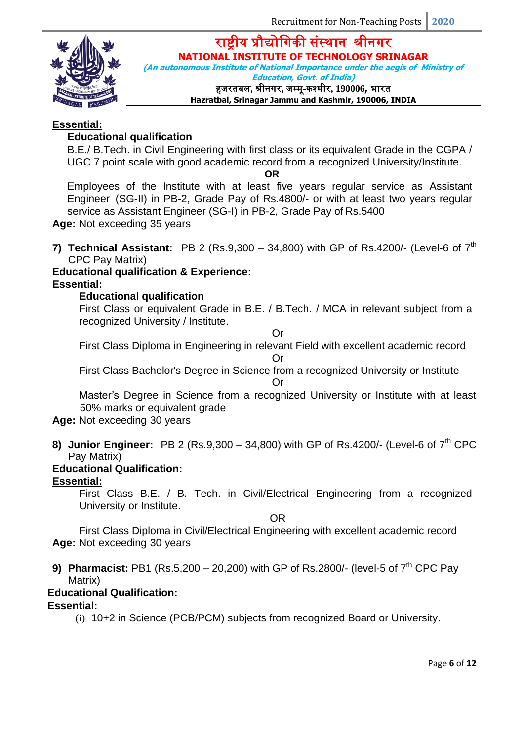

**(An autonomous Institute of National Importance under the aegis of Ministry of Education, Govt. of India)**

हजरतबल**,** श्रीनिर**,** जम्मू**-**कश्मीर**, 190006,** भारत

**Hazratbal, Srinagar Jammu and Kashmir, 190006, INDIA**

### **Essential:**

### **Educational qualification**

B.E./ B.Tech. in Civil Engineering with first class or its equivalent Grade in the CGPA / UGC 7 point scale with good academic record from a recognized University/Institute.

**OR**

Employees of the Institute with at least five years regular service as Assistant Engineer (SG-II) in PB-2, Grade Pay of Rs.4800/- or with at least two years regular service as Assistant Engineer (SG-I) in PB-2, Grade Pay of Rs.5400

**Age:** Not exceeding 35 years

**7) <b>Technical Assistant:** PB 2 (Rs.9,300 – 34,800) with GP of Rs.4200/- (Level-6 of  $7<sup>th</sup>$ CPC Pay Matrix)

### **Educational qualification & Experience:**

**Essential:**

### **Educational qualification**

First Class or equivalent Grade in B.E. / B.Tech. / MCA in relevant subject from a recognized University / Institute.

Or

First Class Diploma in Engineering in relevant Field with excellent academic record Or

First Class Bachelor's Degree in Science from a recognized University or Institute

Or

Master's Degree in Science from a recognized University or Institute with at least 50% marks or equivalent grade

### **Age:** Not exceeding 30 years

**8)** Junior Engineer: PB 2 (Rs.9,300 – 34,800) with GP of Rs.4200/- (Level-6 of  $7<sup>th</sup>$  CPC Pay Matrix)

### **Educational Qualification:**

### **Essential:**

First Class B.E. / B. Tech. in Civil/Electrical Engineering from a recognized University or Institute.

OR

First Class Diploma in Civil/Electrical Engineering with excellent academic record **Age:** Not exceeding 30 years

**9) Pharmacist:** PB1 (Rs.5,200 – 20,200) with GP of Rs.2800/- (level-5 of 7<sup>th</sup> CPC Pav Matrix)

## **Educational Qualification:**

### **Essential:**

(i) 10+2 in Science (PCB/PCM) subjects from recognized Board or University.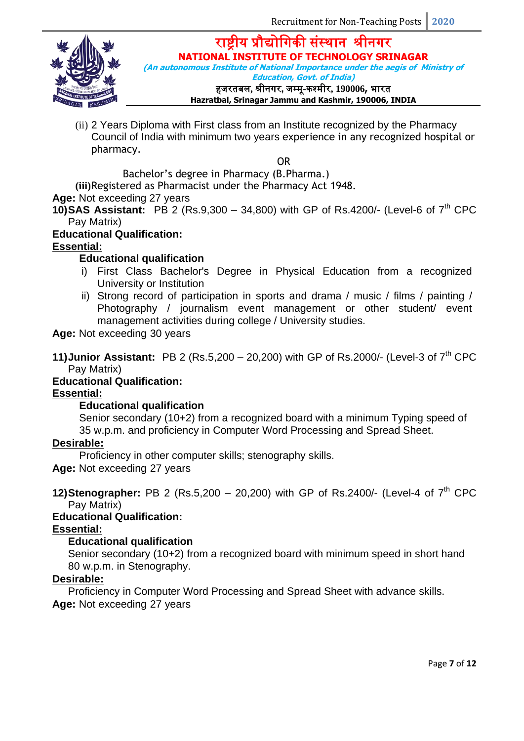राष्ट्रीय प्रौद्योगिकी संस्थान श्रीनिर



**NATIONAL INSTITUTE OF TECHNOLOGY SRINAGAR**

**(An autonomous Institute of National Importance under the aegis of Ministry of** 

**Education, Govt. of India)**

हजरतबल**,** श्रीनिर**,** जम्मू**-**कश्मीर**, 190006,** भारत

**Hazratbal, Srinagar Jammu and Kashmir, 190006, INDIA**

(ii) 2 Years Diploma with First class from an Institute recognized by the Pharmacy Council of India with minimum two years experience in any recognized hospital or pharmacy.

OR

Bachelor's degree in Pharmacy (B.Pharma.)

**(iii)**Registered as Pharmacist under the Pharmacy Act 1948.

**Age:** Not exceeding 27 years

**10)SAS Assistant:** PB 2 (Rs.9,300 – 34,800) with GP of Rs.4200/- (Level-6 of  $7<sup>th</sup>$  CPC Pay Matrix)

### **Educational Qualification:**

### **Essential:**

### **Educational qualification**

- i) First Class Bachelor's Degree in Physical Education from a recognized University or Institution
- ii) Strong record of participation in sports and drama / music / films / painting / Photography / journalism event management or other student/ event management activities during college / University studies.

**Age:** Not exceeding 30 years

**11) Junior Assistant:** PB 2 (Rs.5,200 – 20,200) with GP of Rs.2000/- (Level-3 of  $7<sup>th</sup>$  CPC Pay Matrix)

## **Educational Qualification:**

### **Essential:**

### **Educational qualification**

Senior secondary (10+2) from a recognized board with a minimum Typing speed of 35 w.p.m. and proficiency in Computer Word Processing and Spread Sheet.

### **Desirable:**

Proficiency in other computer skills; stenography skills.

**Age:** Not exceeding 27 years

**12)Stenographer:** PB 2 (Rs.5,200 – 20,200) with GP of Rs.2400/- (Level-4 of 7<sup>th</sup> CPC Pay Matrix)

### **Educational Qualification:**

### **Essential:**

### **Educational qualification**

Senior secondary (10+2) from a recognized board with minimum speed in short hand 80 w.p.m. in Stenography.

### **Desirable:**

Proficiency in Computer Word Processing and Spread Sheet with advance skills. **Age:** Not exceeding 27 years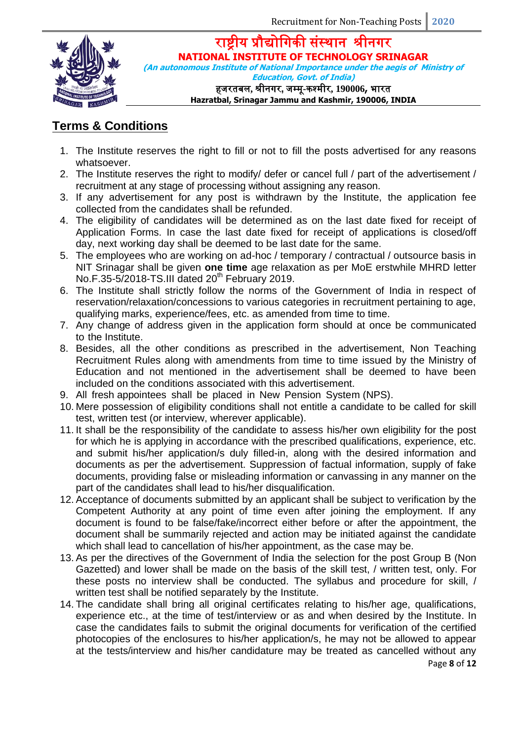

राष्ट्रीय प्रौद्योगिकी संस्थान श्रीनिर **NATIONAL INSTITUTE OF TECHNOLOGY SRINAGAR (An autonomous Institute of National Importance under the aegis of Ministry of** 

**Education, Govt. of India)** हजरतबल**,** श्रीनिर**,** जम्मू**-**कश्मीर**, 190006,** भारत **Hazratbal, Srinagar Jammu and Kashmir, 190006, INDIA**

# **Terms & Conditions**

- 1. The Institute reserves the right to fill or not to fill the posts advertised for any reasons whatsoever.
- 2. The Institute reserves the right to modify/ defer or cancel full / part of the advertisement / recruitment at any stage of processing without assigning any reason.
- 3. If any advertisement for any post is withdrawn by the Institute, the application fee collected from the candidates shall be refunded.
- 4. The eligibility of candidates will be determined as on the last date fixed for receipt of Application Forms. In case the last date fixed for receipt of applications is closed/off day, next working day shall be deemed to be last date for the same.
- 5. The employees who are working on ad-hoc / temporary / contractual / outsource basis in NIT Srinagar shall be given **one time** age relaxation as per MoE erstwhile MHRD letter No.F.35-5/2018-TS.III dated  $20<sup>th</sup>$  February 2019.
- 6. The Institute shall strictly follow the norms of the Government of India in respect of reservation/relaxation/concessions to various categories in recruitment pertaining to age, qualifying marks, experience/fees, etc. as amended from time to time.
- 7. Any change of address given in the application form should at once be communicated to the Institute.
- 8. Besides, all the other conditions as prescribed in the advertisement, Non Teaching Recruitment Rules along with amendments from time to time issued by the Ministry of Education and not mentioned in the advertisement shall be deemed to have been included on the conditions associated with this advertisement.
- 9. All fresh appointees shall be placed in New Pension System (NPS).
- 10. Mere possession of eligibility conditions shall not entitle a candidate to be called for skill test, written test (or interview, wherever applicable).
- 11. It shall be the responsibility of the candidate to assess his/her own eligibility for the post for which he is applying in accordance with the prescribed qualifications, experience, etc. and submit his/her application/s duly filled-in, along with the desired information and documents as per the advertisement. Suppression of factual information, supply of fake documents, providing false or misleading information or canvassing in any manner on the part of the candidates shall lead to his/her disqualification.
- 12. Acceptance of documents submitted by an applicant shall be subject to verification by the Competent Authority at any point of time even after joining the employment. If any document is found to be false/fake/incorrect either before or after the appointment, the document shall be summarily rejected and action may be initiated against the candidate which shall lead to cancellation of his/her appointment, as the case may be.
- 13. As per the directives of the Government of India the selection for the post Group B (Non Gazetted) and lower shall be made on the basis of the skill test, / written test, only. For these posts no interview shall be conducted. The syllabus and procedure for skill, / written test shall be notified separately by the Institute.
- 14. The candidate shall bring all original certificates relating to his/her age, qualifications, experience etc., at the time of test/interview or as and when desired by the Institute. In case the candidates fails to submit the original documents for verification of the certified photocopies of the enclosures to his/her application/s, he may not be allowed to appear at the tests/interview and his/her candidature may be treated as cancelled without any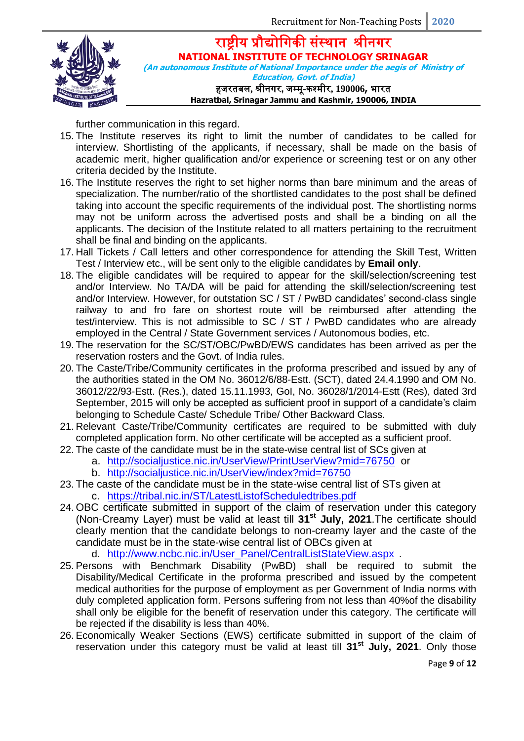राष्ट्रीय प्रौद्योगिकी संस्थान श्रीनिर **NATIONAL INSTITUTE OF TECHNOLOGY SRINAGAR (An autonomous Institute of National Importance under the aegis of Ministry of Education, Govt. of India)**

हजरतबल**,** श्रीनिर**,** जम्मू**-**कश्मीर**, 190006,** भारत **Hazratbal, Srinagar Jammu and Kashmir, 190006, INDIA**

further communication in this regard.

- 15. The Institute reserves its right to limit the number of candidates to be called for interview. Shortlisting of the applicants, if necessary, shall be made on the basis of academic merit, higher qualification and/or experience or screening test or on any other criteria decided by the Institute.
- 16. The Institute reserves the right to set higher norms than bare minimum and the areas of specialization. The number/ratio of the shortlisted candidates to the post shall be defined taking into account the specific requirements of the individual post. The shortlisting norms may not be uniform across the advertised posts and shall be a binding on all the applicants. The decision of the Institute related to all matters pertaining to the recruitment shall be final and binding on the applicants.
- 17. Hall Tickets / Call letters and other correspondence for attending the Skill Test, Written Test / Interview etc., will be sent only to the eligible candidates by **Email only**.
- 18. The eligible candidates will be required to appear for the skill/selection/screening test and/or Interview. No TA/DA will be paid for attending the skill/selection/screening test and/or Interview. However, for outstation SC / ST / PwBD candidates' second-class single railway to and fro fare on shortest route will be reimbursed after attending the test/interview. This is not admissible to SC / ST / PwBD candidates who are already employed in the Central / State Government services / Autonomous bodies, etc.
- 19. The reservation for the SC/ST/OBC/PwBD/EWS candidates has been arrived as per the reservation rosters and the Govt. of India rules.
- 20. The Caste/Tribe/Community certificates in the proforma prescribed and issued by any of the authorities stated in the OM No. 36012/6/88-Estt. (SCT), dated 24.4.1990 and OM No. 36012/22/93-Estt. (Res.), dated 15.11.1993, GoI, No. 36028/1/2014-Estt (Res), dated 3rd September, 2015 will only be accepted as sufficient proof in support of a candidate's claim belonging to Schedule Caste/ Schedule Tribe/ Other Backward Class.
- 21. Relevant Caste/Tribe/Community certificates are required to be submitted with duly completed application form. No other certificate will be accepted as a sufficient proof.
- 22. The caste of the candidate must be in the state-wise central list of SCs given at
	- a. <http://socialjustice.nic.in/UserView/PrintUserView?mid=76750>or
		- b. <http://socialjustice.nic.in/UserView/index?mid=76750>
- 23. The caste of the candidate must be in the state-wise central list of STs given at
	- c. <https://tribal.nic.in/ST/LatestListofScheduledtribes.pdf>
- 24. OBC certificate submitted in support of the claim of reservation under this category (Non-Creamy Layer) must be valid at least till **31st July, 2021**.The certificate should clearly mention that the candidate belongs to non-creamy layer and the caste of the candidate must be in the state-wise central list of OBCs given at

d. [http://www.ncbc.nic.in/User\\_Panel/CentralListStateView.aspx](http://www.ncbc.nic.in/User_Panel/CentralListStateView.aspx) .

- 25. Persons with Benchmark Disability (PwBD) shall be required to submit the Disability/Medical Certificate in the proforma prescribed and issued by the competent medical authorities for the purpose of employment as per Government of India norms with duly completed application form. Persons suffering from not less than 40%of the disability shall only be eligible for the benefit of reservation under this category. The certificate will be rejected if the disability is less than 40%.
- 26. Economically Weaker Sections (EWS) certificate submitted in support of the claim of reservation under this category must be valid at least till **31st July, 2021**. Only those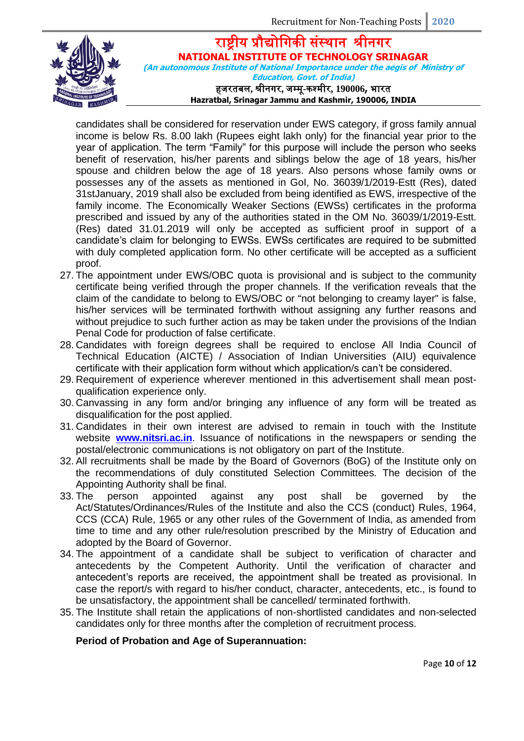

राष्ट्रीय प्रौद्योगिकी संस्थान श्रीनिर **NATIONAL INSTITUTE OF TECHNOLOGY SRINAGAR (An autonomous Institute of National Importance under the aegis of Ministry of Education, Govt. of India)** हजरतबल**,** श्रीनिर**,** जम्मू**-**कश्मीर**, 190006,** भारत

**Hazratbal, Srinagar Jammu and Kashmir, 190006, INDIA**

candidates shall be considered for reservation under EWS category, if gross family annual income is below Rs. 8.00 lakh (Rupees eight lakh only) for the financial year prior to the year of application. The term "Family" for this purpose will include the person who seeks benefit of reservation, his/her parents and siblings below the age of 18 years, his/her spouse and children below the age of 18 years. Also persons whose family owns or possesses any of the assets as mentioned in GoI, No. 36039/1/2019-Estt (Res), dated 31stJanuary, 2019 shall also be excluded from being identified as EWS, irrespective of the family income. The Economically Weaker Sections (EWSs) certificates in the proforma prescribed and issued by any of the authorities stated in the OM No. 36039/1/2019-Estt. (Res) dated 31.01.2019 will only be accepted as sufficient proof in support of a candidate's claim for belonging to EWSs. EWSs certificates are required to be submitted with duly completed application form. No other certificate will be accepted as a sufficient proof.

- 27. The appointment under EWS/OBC quota is provisional and is subject to the community certificate being verified through the proper channels. If the verification reveals that the claim of the candidate to belong to EWS/OBC or "not belonging to creamy layer" is false, his/her services will be terminated forthwith without assigning any further reasons and without prejudice to such further action as may be taken under the provisions of the Indian Penal Code for production of false certificate.
- 28. Candidates with foreign degrees shall be required to enclose All India Council of Technical Education (AICTE) / Association of Indian Universities (AIU) equivalence certificate with their application form without which application/s can't be considered.
- 29. Requirement of experience wherever mentioned in this advertisement shall mean postqualification experience only.
- 30. Canvassing in any form and/or bringing any influence of any form will be treated as disqualification for the post applied.
- 31. Candidates in their own interest are advised to remain in touch with the Institute website **[www.nitsri.ac.in](http://www.nitsri.ac.in/)**. Issuance of notifications in the newspapers or sending the postal/electronic communications is not obligatory on part of the Institute.
- 32. All recruitments shall be made by the Board of Governors (BoG) of the Institute only on the recommendations of duly constituted Selection Committees. The decision of the Appointing Authority shall be final.
- 33. The person appointed against any post shall be governed by the Act/Statutes/Ordinances/Rules of the Institute and also the CCS (conduct) Rules, 1964, CCS (CCA) Rule, 1965 or any other rules of the Government of India, as amended from time to time and any other rule/resolution prescribed by the Ministry of Education and adopted by the Board of Governor.
- 34. The appointment of a candidate shall be subject to verification of character and antecedents by the Competent Authority. Until the verification of character and antecedent's reports are received, the appointment shall be treated as provisional. In case the report/s with regard to his/her conduct, character, antecedents, etc., is found to be unsatisfactory, the appointment shall be cancelled/ terminated forthwith.
- 35. The Institute shall retain the applications of non-shortlisted candidates and non-selected candidates only for three months after the completion of recruitment process.

#### **Period of Probation and Age of Superannuation:**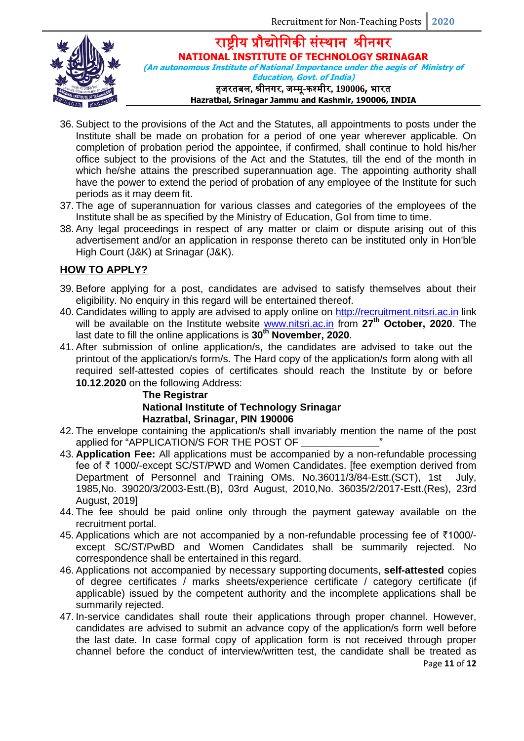

राष्ट्रीय प्रौद्योगिकी संस्थान श्रीनिर **NATIONAL INSTITUTE OF TECHNOLOGY SRINAGAR (An autonomous Institute of National Importance under the aegis of Ministry of** 

> **Education, Govt. of India)** हजरतबल**,** श्रीनिर**,** जम्मू**-**कश्मीर**, 190006,** भारत **Hazratbal, Srinagar Jammu and Kashmir, 190006, INDIA**

- 36. Subject to the provisions of the Act and the Statutes, all appointments to posts under the Institute shall be made on probation for a period of one year wherever applicable. On completion of probation period the appointee, if confirmed, shall continue to hold his/her office subject to the provisions of the Act and the Statutes, till the end of the month in which he/she attains the prescribed superannuation age. The appointing authority shall have the power to extend the period of probation of any employee of the Institute for such periods as it may deem fit.
- 37. The age of superannuation for various classes and categories of the employees of the Institute shall be as specified by the Ministry of Education, GoI from time to time.
- 38. Any legal proceedings in respect of any matter or claim or dispute arising out of this advertisement and/or an application in response thereto can be instituted only in Hon'ble High Court (J&K) at Srinagar (J&K).

### **HOW TO APPLY?**

- 39. Before applying for a post, candidates are advised to satisfy themselves about their eligibility. No enquiry in this regard will be entertained thereof.
- 40. Candidates willing to apply are advised to apply online on [http://recruitment.nitsri.ac.in](http://recruitment.nitsri.ac.in/) link will be available on the Institute website [www.nitsri.ac.in](http://www.nitsri.ac.in/) from **27th October, 2020**. The last date to fill the online applications is **30th November, 2020**.
- 41. After submission of online application/s, the candidates are advised to take out the printout of the application/s form/s. The Hard copy of the application/s form along with all required self-attested copies of certificates should reach the Institute by or before **10.12.2020** on the following Address:

## **The Registrar National Institute of Technology Srinagar Hazratbal, Srinagar, PIN 190006**

- 42. The envelope containing the application/s shall invariably mention the name of the post applied for "APPLICATION/S FOR THE POST OF
- 43. **Application Fee:** All applications must be accompanied by a non-refundable processing fee of ₹ 1000/-except SC/ST/PWD and Women Candidates. [fee exemption derived from Department of Personnel and Training OMs. No.36011/3/84-Estt.(SCT), 1st July, 1985,No. 39020/3/2003-Estt.(B), 03rd August, 2010,No. 36035/2/2017-Estt.(Res), 23rd August, 2019]
- 44. The fee should be paid online only through the payment gateway available on the recruitment portal.
- 45. Applications which are not accompanied by a non-refundable processing fee of ₹1000/ except SC/ST/PwBD and Women Candidates shall be summarily rejected. No correspondence shall be entertained in this regard.
- 46. Applications not accompanied by necessary supporting documents, **self-attested** copies of degree certificates / marks sheets/experience certificate / category certificate (if applicable) issued by the competent authority and the incomplete applications shall be summarily rejected.
- Page **11** of **12** 47. In-service candidates shall route their applications through proper channel. However, candidates are advised to submit an advance copy of the application/s form well before the last date. In case formal copy of application form is not received through proper channel before the conduct of interview/written test, the candidate shall be treated as